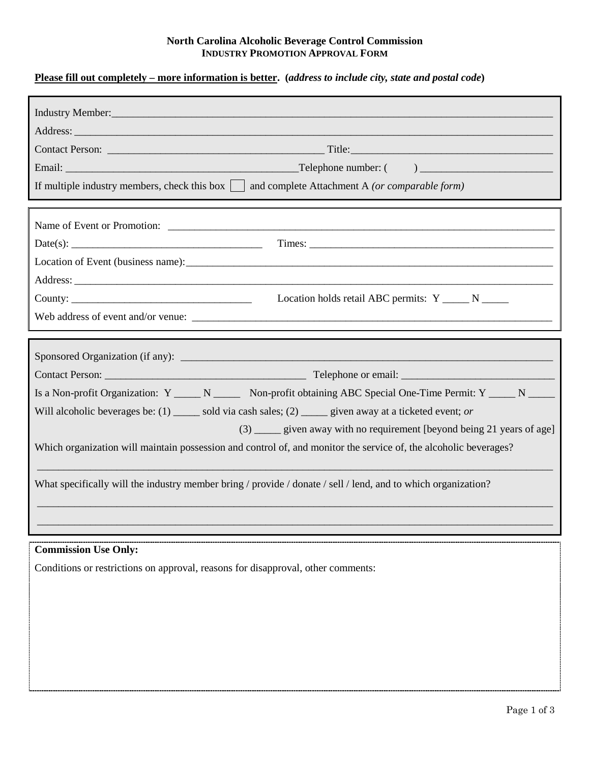## **North Carolina Alcoholic Beverage Control Commission INDUSTRY PROMOTION APPROVAL FORM**

## **Please fill out completely – more information is better. (***address to include city, state and postal code***)**

| Address:                                                                                                           |
|--------------------------------------------------------------------------------------------------------------------|
|                                                                                                                    |
|                                                                                                                    |
| If multiple industry members, check this box $\vert$ and complete Attachment A (or comparable form)                |
|                                                                                                                    |
|                                                                                                                    |
|                                                                                                                    |
|                                                                                                                    |
|                                                                                                                    |
|                                                                                                                    |
|                                                                                                                    |
|                                                                                                                    |
|                                                                                                                    |
|                                                                                                                    |
| Is a Non-profit Organization: Y ______ N _______ Non-profit obtaining ABC Special One-Time Permit: Y _____ N _____ |
| Will alcoholic beverages be: $(1)$ _____ sold via cash sales; $(2)$ _____ given away at a ticketed event; or       |
| (3) _____ given away with no requirement [beyond being 21 years of age]                                            |
|                                                                                                                    |
| Which organization will maintain possession and control of, and monitor the service of, the alcoholic beverages?   |
|                                                                                                                    |
| What specifically will the industry member bring / provide / donate / sell / lend, and to which organization?      |
|                                                                                                                    |
|                                                                                                                    |
|                                                                                                                    |
| <b>Commission Use Only:</b><br>Conditions or restrictions on approval, reasons for disapproval, other comments:    |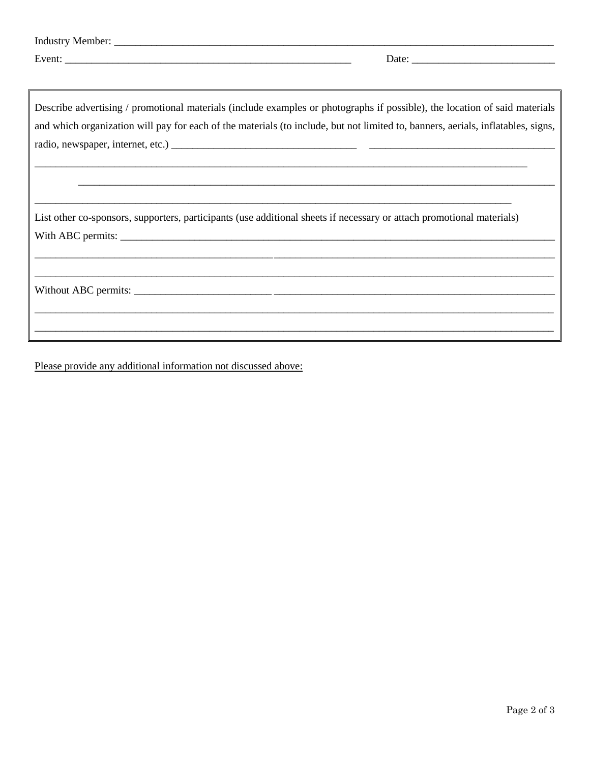| Date:                                                                                                                            |
|----------------------------------------------------------------------------------------------------------------------------------|
|                                                                                                                                  |
|                                                                                                                                  |
| Describe advertising / promotional materials (include examples or photographs if possible), the location of said materials       |
| and which organization will pay for each of the materials (to include, but not limited to, banners, aerials, inflatables, signs, |
|                                                                                                                                  |
|                                                                                                                                  |
|                                                                                                                                  |
|                                                                                                                                  |
|                                                                                                                                  |
| List other co-sponsors, supporters, participants (use additional sheets if necessary or attach promotional materials)            |
|                                                                                                                                  |
|                                                                                                                                  |
|                                                                                                                                  |
|                                                                                                                                  |
|                                                                                                                                  |
|                                                                                                                                  |
| <u> 1989 - Johann Barn, amerikan besteman besteman besteman besteman besteman besteman besteman besteman besteman</u>            |

Please provide any additional information not discussed above: